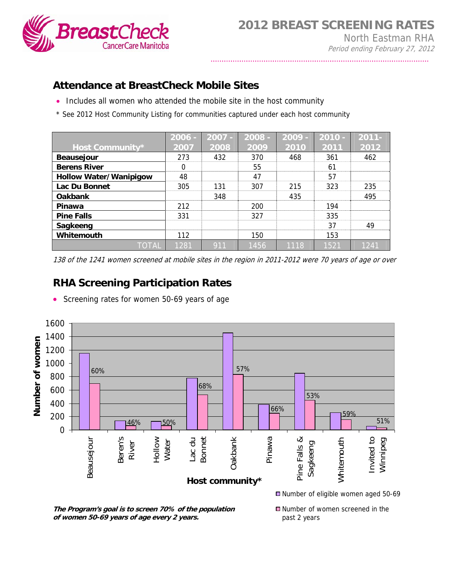

## **Attendance at BreastCheck Mobile Sites**

- Includes all women who attended the mobile site in the host community
- \* See 2012 Host Community Listing for communities captured under each host community

|                               | $2006 -$ | $2007 -$ | 2008 | $2009 -$ | $2010 -$ | $2011 -$ |
|-------------------------------|----------|----------|------|----------|----------|----------|
| <b>Host Community*</b>        | 2007     | 2008     | 2009 | 2010     | 2011     | 2012     |
| <b>Beausejour</b>             | 273      | 432      | 370  | 468      | 361      | 462      |
| <b>Berens River</b>           | $\Omega$ |          | 55   |          | 61       |          |
| <b>Hollow Water/Wanipigow</b> | 48       |          | 47   |          | 57       |          |
| Lac Du Bonnet                 | 305      | 131      | 307  | 215      | 323      | 235      |
| <b>Oakbank</b>                |          | 348      |      | 435      |          | 495      |
| Pinawa                        | 212      |          | 200  |          | 194      |          |
| <b>Pine Falls</b>             | 331      |          | 327  |          | 335      |          |
| Sagkeeng                      |          |          |      |          | 37       | 49       |
| Whitemouth                    | 112      |          | 150  |          | 153      |          |
| ΤΟΤΑΙ                         | 1281     | 911      | 1456 | 1118     | 1521     | 1241     |

138 of the 1241 women screened at mobile sites in the region in 2011-2012 were 70 years of age or over

## **RHA Screening Participation Rates**

• Screening rates for women 50-69 years of age



past 2 years